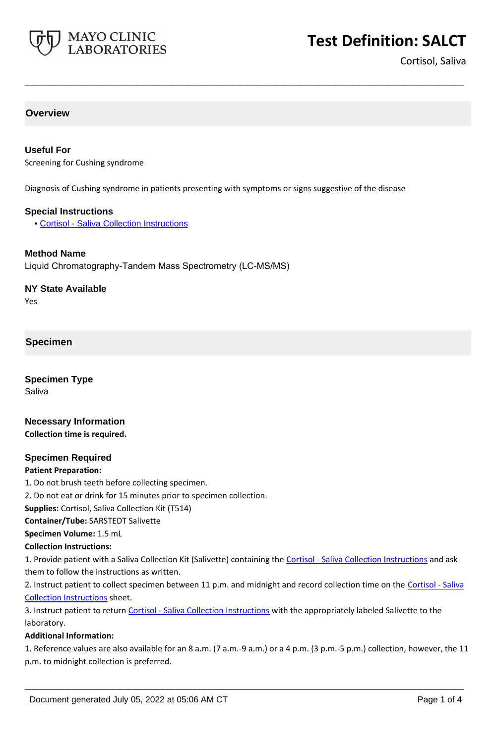

# **Test Definition: SALCT**

Cortisol, Saliva

#### **Overview**

#### **Useful For**

Screening for Cushing syndrome

Diagnosis of Cushing syndrome in patients presenting with symptoms or signs suggestive of the disease

**\_\_\_\_\_\_\_\_\_\_\_\_\_\_\_\_\_\_\_\_\_\_\_\_\_\_\_\_\_\_\_\_\_\_\_\_\_\_\_\_\_\_\_\_\_\_\_\_\_\_\_**

#### **Special Instructions**

• [Cortisol - Saliva Collection Instructions](https://www.mayocliniclabs.com/it-mmfiles/Cortisol_-_Saliva_Collection_Instructions.pdf)

#### **Method Name**

Liquid Chromatography-Tandem Mass Spectrometry (LC-MS/MS)

#### **NY State Available**

Yes

#### **Specimen**

**Specimen Type** Saliva

#### **Necessary Information Collection time is required.**

# **Specimen Required**

#### **Patient Preparation:**

1. Do not brush teeth before collecting specimen.

2. Do not eat or drink for 15 minutes prior to specimen collection.

**Supplies:** Cortisol, Saliva Collection Kit (T514)

**Container/Tube:** SARSTEDT Salivette

#### **Specimen Volume:** 1.5 mL

**Collection Instructions:**

1. Provide patient with a Saliva Collection Kit (Salivette) containing the [Cortisol - Saliva Collection Instructions](https://www.mayocliniclabs.com/it-mmfiles/Cortisol_-_Saliva_Collection_Instructions.pdf) and ask them to follow the instructions as written.

2. Instruct patient to collect specimen between 11 p.m. and midnight and record collection time on the Cortisol - Saliva [Collection Instructions](https://www.mayocliniclabs.com/it-mmfiles/Cortisol_-_Saliva_Collection_Instructions.pdf) sheet.

3. Instruct patient to return [Cortisol - Saliva Collection Instructions](https://www.mayocliniclabs.com/it-mmfiles/Cortisol_-_Saliva_Collection_Instructions.pdf) with the appropriately labeled Salivette to the laboratory.

#### **Additional Information:**

1. Reference values are also available for an 8 a.m. (7 a.m.-9 a.m.) or a 4 p.m. (3 p.m.-5 p.m.) collection, however, the 11 p.m. to midnight collection is preferred.

**\_\_\_\_\_\_\_\_\_\_\_\_\_\_\_\_\_\_\_\_\_\_\_\_\_\_\_\_\_\_\_\_\_\_\_\_\_\_\_\_\_\_\_\_\_\_\_\_\_\_\_**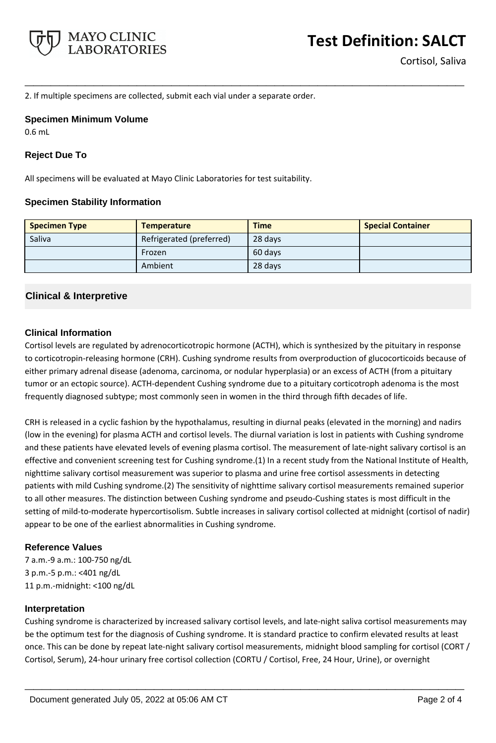

2. If multiple specimens are collected, submit each vial under a separate order.

#### **Specimen Minimum Volume**

0.6 mL

### **Reject Due To**

All specimens will be evaluated at Mayo Clinic Laboratories for test suitability.

#### **Specimen Stability Information**

| <b>Specimen Type</b> | <b>Temperature</b>       | <b>Time</b> | <b>Special Container</b> |
|----------------------|--------------------------|-------------|--------------------------|
| Saliva               | Refrigerated (preferred) | 28 days     |                          |
|                      | Frozen                   | 60 days     |                          |
|                      | Ambient                  | 28 days     |                          |

**\_\_\_\_\_\_\_\_\_\_\_\_\_\_\_\_\_\_\_\_\_\_\_\_\_\_\_\_\_\_\_\_\_\_\_\_\_\_\_\_\_\_\_\_\_\_\_\_\_\_\_**

## **Clinical & Interpretive**

## **Clinical Information**

Cortisol levels are regulated by adrenocorticotropic hormone (ACTH), which is synthesized by the pituitary in response to corticotropin-releasing hormone (CRH). Cushing syndrome results from overproduction of glucocorticoids because of either primary adrenal disease (adenoma, carcinoma, or nodular hyperplasia) or an excess of ACTH (from a pituitary tumor or an ectopic source). ACTH-dependent Cushing syndrome due to a pituitary corticotroph adenoma is the most frequently diagnosed subtype; most commonly seen in women in the third through fifth decades of life.

CRH is released in a cyclic fashion by the hypothalamus, resulting in diurnal peaks (elevated in the morning) and nadirs (low in the evening) for plasma ACTH and cortisol levels. The diurnal variation is lost in patients with Cushing syndrome and these patients have elevated levels of evening plasma cortisol. The measurement of late-night salivary cortisol is an effective and convenient screening test for Cushing syndrome.(1) In a recent study from the National Institute of Health, nighttime salivary cortisol measurement was superior to plasma and urine free cortisol assessments in detecting patients with mild Cushing syndrome.(2) The sensitivity of nighttime salivary cortisol measurements remained superior to all other measures. The distinction between Cushing syndrome and pseudo-Cushing states is most difficult in the setting of mild-to-moderate hypercortisolism. Subtle increases in salivary cortisol collected at midnight (cortisol of nadir) appear to be one of the earliest abnormalities in Cushing syndrome.

#### **Reference Values**

7 a.m.-9 a.m.: 100-750 ng/dL 3 p.m.-5 p.m.: <401 ng/dL 11 p.m.-midnight: <100 ng/dL

#### **Interpretation**

Cushing syndrome is characterized by increased salivary cortisol levels, and late-night saliva cortisol measurements may be the optimum test for the diagnosis of Cushing syndrome. It is standard practice to confirm elevated results at least once. This can be done by repeat late-night salivary cortisol measurements, midnight blood sampling for cortisol (CORT / Cortisol, Serum), 24-hour urinary free cortisol collection (CORTU / Cortisol, Free, 24 Hour, Urine), or overnight

**\_\_\_\_\_\_\_\_\_\_\_\_\_\_\_\_\_\_\_\_\_\_\_\_\_\_\_\_\_\_\_\_\_\_\_\_\_\_\_\_\_\_\_\_\_\_\_\_\_\_\_**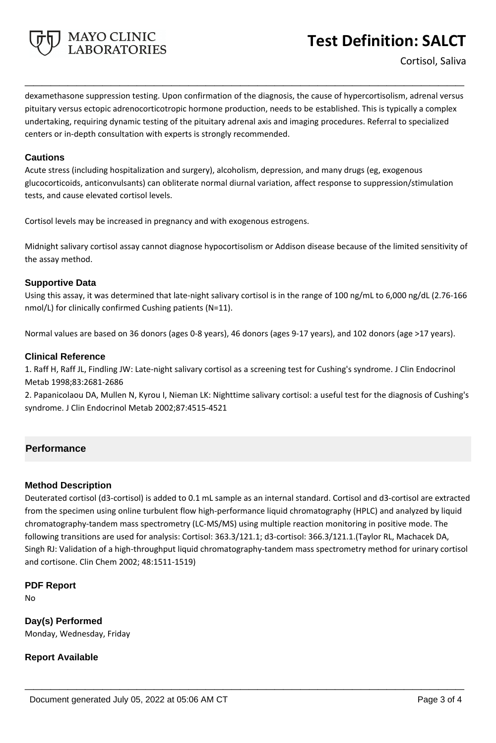

dexamethasone suppression testing. Upon confirmation of the diagnosis, the cause of hypercortisolism, adrenal versus pituitary versus ectopic adrenocorticotropic hormone production, needs to be established. This is typically a complex undertaking, requiring dynamic testing of the pituitary adrenal axis and imaging procedures. Referral to specialized centers or in-depth consultation with experts is strongly recommended.

**\_\_\_\_\_\_\_\_\_\_\_\_\_\_\_\_\_\_\_\_\_\_\_\_\_\_\_\_\_\_\_\_\_\_\_\_\_\_\_\_\_\_\_\_\_\_\_\_\_\_\_**

#### **Cautions**

Acute stress (including hospitalization and surgery), alcoholism, depression, and many drugs (eg, exogenous glucocorticoids, anticonvulsants) can obliterate normal diurnal variation, affect response to suppression/stimulation tests, and cause elevated cortisol levels.

Cortisol levels may be increased in pregnancy and with exogenous estrogens.

Midnight salivary cortisol assay cannot diagnose hypocortisolism or Addison disease because of the limited sensitivity of the assay method.

#### **Supportive Data**

Using this assay, it was determined that late-night salivary cortisol is in the range of 100 ng/mL to 6,000 ng/dL (2.76-166 nmol/L) for clinically confirmed Cushing patients (N=11).

Normal values are based on 36 donors (ages 0-8 years), 46 donors (ages 9-17 years), and 102 donors (age >17 years).

#### **Clinical Reference**

1. Raff H, Raff JL, Findling JW: Late-night salivary cortisol as a screening test for Cushing's syndrome. J Clin Endocrinol Metab 1998;83:2681-2686

2. Papanicolaou DA, Mullen N, Kyrou I, Nieman LK: Nighttime salivary cortisol: a useful test for the diagnosis of Cushing's syndrome. J Clin Endocrinol Metab 2002;87:4515-4521

# **Performance**

#### **Method Description**

Deuterated cortisol (d3-cortisol) is added to 0.1 mL sample as an internal standard. Cortisol and d3-cortisol are extracted from the specimen using online turbulent flow high-performance liquid chromatography (HPLC) and analyzed by liquid chromatography-tandem mass spectrometry (LC-MS/MS) using multiple reaction monitoring in positive mode. The following transitions are used for analysis: Cortisol: 363.3/121.1; d3-cortisol: 366.3/121.1.(Taylor RL, Machacek DA, Singh RJ: Validation of a high-throughput liquid chromatography-tandem mass spectrometry method for urinary cortisol and cortisone. Clin Chem 2002; 48:1511-1519)

**\_\_\_\_\_\_\_\_\_\_\_\_\_\_\_\_\_\_\_\_\_\_\_\_\_\_\_\_\_\_\_\_\_\_\_\_\_\_\_\_\_\_\_\_\_\_\_\_\_\_\_**

#### **PDF Report**

No

**Day(s) Performed** Monday, Wednesday, Friday

#### **Report Available**